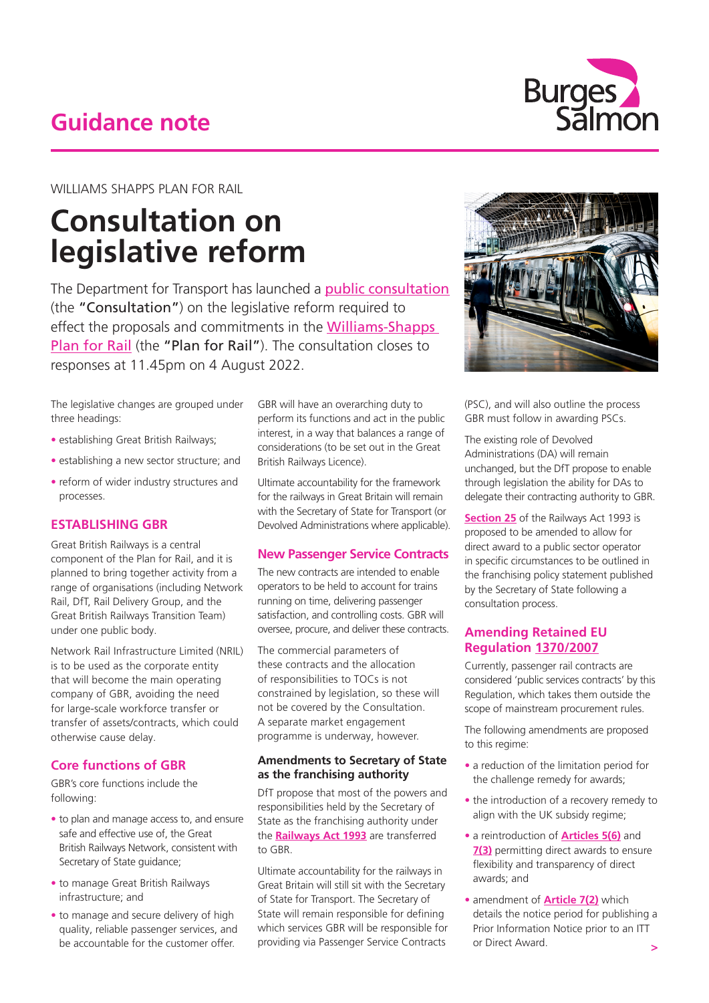## **Guidance note**



WILLIAMS SHAPPS PLAN FOR RAIL

# **Consultation on legislative reform**

The Department for Transport has launched a **[public consultation](https://www.gov.uk/government/consultations/williams-shapps-plan-for-rail-legislative-changes-to-implement-rail-reform)** (the "Consultation") on the legislative reform required to effect the proposals and commitments in the [Williams-Shapps](https://www.gov.uk/government/publications/great-british-railways-williams-shapps-plan-for-rail)  [Plan for Rail](https://www.gov.uk/government/publications/great-british-railways-williams-shapps-plan-for-rail) (the "Plan for Rail"). The consultation closes to responses at 11.45pm on 4 August 2022.

The legislative changes are grouped under three headings:

- establishing Great British Railways;
- establishing a new sector structure; and
- reform of wider industry structures and processes.

## **ESTABLISHING GBR**

Great British Railways is a central component of the Plan for Rail, and it is planned to bring together activity from a range of organisations (including Network Rail, DfT, Rail Delivery Group, and the Great British Railways Transition Team) under one public body.

Network Rail Infrastructure Limited (NRIL) is to be used as the corporate entity that will become the main operating company of GBR, avoiding the need for large-scale workforce transfer or transfer of assets/contracts, which could otherwise cause delay.

## **Core functions of GBR**

GBR's core functions include the following:

- to plan and manage access to, and ensure safe and effective use of the Great British Railways Network, consistent with Secretary of State guidance;
- to manage Great British Railways infrastructure; and
- to manage and secure delivery of high quality, reliable passenger services, and be accountable for the customer offer.

GBR will have an overarching duty to perform its functions and act in the public interest, in a way that balances a range of considerations (to be set out in the Great British Railways Licence).

Ultimate accountability for the framework for the railways in Great Britain will remain with the Secretary of State for Transport (or Devolved Administrations where applicable).

## **New Passenger Service Contracts**

The new contracts are intended to enable operators to be held to account for trains running on time, delivering passenger satisfaction, and controlling costs. GBR will oversee, procure, and deliver these contracts.

The commercial parameters of these contracts and the allocation of responsibilities to TOCs is not constrained by legislation, so these will not be covered by the Consultation. A separate market engagement programme is underway, however.

#### **Amendments to Secretary of State as the franchising authority**

DfT propose that most of the powers and responsibilities held by the Secretary of State as the franchising authority under the **[Railways Act 1993](https://uk.westlaw.com/Document/I5FDBCE81E42311DAA7CF8F68F6EE57AB/View/FullText.html?navigationPath=Search%2Fv1%2Fresults%2Fnavigation%2Fi0ad604ac000001814e7d318e2a25018e%3Fppcid%3Def07e3f90d45467b9f999513906c10db%26Nav%3DLEGISLATION_PRIMARY_SECONDARY_WLUK%26fragmentIdentifier%3DI5FDBCE81E42311DAA7CF8F68F6EE57AB%26parentRank%3D0%26startIndex%3D1%26contextData%3D%2528sc.Search%2529%26transitionType%3DSearchItem&listSource=Search&listPageSource=6efb7598b1d6e05b34ef6f235eeae865&list=LEGISLATION_PRIMARY_SECONDARY_WLUK&rank=1&sessionScopeId=7dd32236fc77f7befe6c093001b498317e6968ba8de86b7c36d675dcb21bee56&ppcid=ef07e3f90d45467b9f999513906c10db&originationContext=Search%20Result&transitionType=SearchItem&contextData=(sc.Search)&comp=wluk&navId=3386E616EA270C24F8FA39482257FB19)** are transferred to GBR.

Ultimate accountability for the railways in Great Britain will still sit with the Secretary of State for Transport. The Secretary of State will remain responsible for defining which services GBR will be responsible for providing via Passenger Service Contracts



(PSC), and will also outline the process GBR must follow in awarding PSCs.

The existing role of Devolved Administrations (DA) will remain unchanged, but the DfT propose to enable through legislation the ability for DAs to delegate their contracting authority to GBR.

**[Section 25](https://uk.westlaw.com/Document/I96119B20E44A11DA8D70A0E70A78ED65/View/FullText.html?originationContext=document&transitionType=DocumentItem&ppcid=b463b4096e2f45deb507906172510932&contextData=(sc.Search)&navId=424C44D3CA2D703E3283823830A6CE27&comp=wluk)** of the Railways Act 1993 is proposed to be amended to allow for direct award to a public sector operator in specific circumstances to be outlined in the franchising policy statement published by the Secretary of State following a consultation process.

## **Amending Retained EU Regulation [1370/2007](https://uk.westlaw.com/Document/I84724C40346011EBB214BE53FB07AE41/View/FullText.html?navigationPath=Search%2Fv1%2Fresults%2Fnavigation%2Fi0ad604ac000001814e7f3b2b2a25035b%3Fppcid%3D2a20721e10e34a8a8a0730c89869de1f%26Nav%3DLEGISLATION_PRIMARY_SECONDARY_WLUK%26fragmentIdentifier%3DI84724C40346011EBB214BE53FB07AE41%26parentRank%3D0%26startIndex%3D1%26contextData%3D%2528sc.Search%2529%26transitionType%3DSearchItem&listSource=Search&listPageSource=2b7938b4f77c43cabec71b949452a7c1&list=LEGISLATION_PRIMARY_SECONDARY_WLUK&rank=1&sessionScopeId=7dd32236fc77f7befe6c093001b498317e6968ba8de86b7c36d675dcb21bee56&ppcid=2a20721e10e34a8a8a0730c89869de1f&originationContext=Search%20Result&transitionType=SearchItem&contextData=(sc.Search)&comp=wluk&navId=3EE3B6E9818BC8D209D9F89DB3F139FD)**

Currently, passenger rail contracts are considered 'public services contracts' by this Regulation, which takes them outside the scope of mainstream procurement rules.

The following amendments are proposed to this regime:

- a reduction of the limitation period for the challenge remedy for awards;
- the introduction of a recovery remedy to align with the UK subsidy regime;
- a reintroduction of **[Articles 5\(6\)](https://uk.westlaw.com/Document/I4B9EEA30346111EB82A3C14DDF5632FF/View/FullText.html?originationContext=document&transitionType=DocumentItem&ppcid=889d7272a744497db51e918c5f89934e&contextData=(sc.Search)&navId=A11300A34D8A639E83EFC5B25B61F868&comp=wluk)** and **[7\(3\)](https://uk.westlaw.com/Document/I8C9C55E0346111EB82A3C14DDF5632FF/View/FullText.html?originationContext=document&transitionType=DocumentItem&ppcid=889d7272a744497db51e918c5f89934e&contextData=(sc.Search)&navId=A11300A34D8A639E83EFC5B25B61F868&comp=wluk)** permitting direct awards to ensure flexibility and transparency of direct awards; and
- amendment of **[Article 7\(2\)](https://uk.westlaw.com/Document/I8C9C55E0346111EB82A3C14DDF5632FF/View/FullText.html?originationContext=document&transitionType=DocumentItem&ppcid=889d7272a744497db51e918c5f89934e&contextData=(sc.Search)&navId=A11300A34D8A639E83EFC5B25B61F868&comp=wluk)** which details the notice period for publishing a Prior Information Notice prior to an ITT or Direct Award.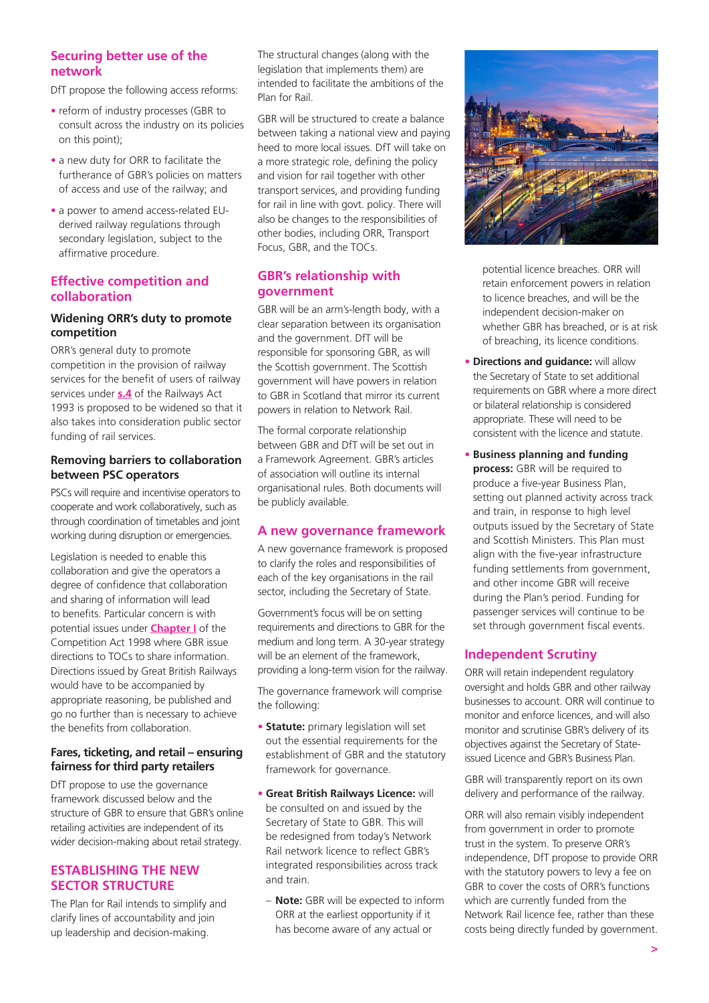## **Securing better use of the network**

DfT propose the following access reforms:

- reform of industry processes (GBR to consult across the industry on its policies on this point);
- a new duty for ORR to facilitate the furtherance of GBR's policies on matters of access and use of the railway; and
- a power to amend access-related EUderived railway regulations through secondary legislation, subject to the affirmative procedure.

#### **Effective competition and collaboration**

#### **Widening ORR's duty to promote competition**

ORR's general duty to promote competition in the provision of railway services for the benefit of users of railway services under **[s.4](https://uk.westlaw.com/Document/I31C60EE0E44911DA8D70A0E70A78ED65/View/FullText.html?originationContext=document&transitionType=DocumentItem&ppcid=b463b4096e2f45deb507906172510932&contextData=(sc.Search)&navId=424C44D3CA2D703E3283823830A6CE27&comp=wluk)** of the Railways Act 1993 is proposed to be widened so that it also takes into consideration public sector funding of rail services.

#### **Removing barriers to collaboration between PSC operators**

PSCs will require and incentivise operators to cooperate and work collaboratively, such as through coordination of timetables and joint working during disruption or emergencies.

Legislation is needed to enable this collaboration and give the operators a degree of confidence that collaboration and sharing of information will lead to benefits. Particular concern is with potential issues under **[Chapter I](https://uk.westlaw.com/Document/I1CC45B00E4A811DA9407CBB86AE37856/View/FullText.html?originationContext=document&transitionType=DocumentItem&ppcid=0c22553bfa534c2dbfe367cfc578cb15&contextData=(sc.Search)&navId=3B61F3CC9358F53F3CC35185C8C64B9D&comp=wluk)** of the Competition Act 1998 where GBR issue directions to TOCs to share information. Directions issued by Great British Railways would have to be accompanied by appropriate reasoning, be published and go no further than is necessary to achieve the benefits from collaboration.

#### **Fares, ticketing, and retail – ensuring fairness for third party retailers**

DfT propose to use the governance framework discussed below and the structure of GBR to ensure that GBR's online retailing activities are independent of its wider decision-making about retail strategy.

## **ESTABLISHING THE NEW SECTOR STRUCTURE**

The Plan for Rail intends to simplify and clarify lines of accountability and join up leadership and decision-making.

The structural changes (along with the legislation that implements them) are intended to facilitate the ambitions of the Plan for Rail.

GBR will be structured to create a balance between taking a national view and paying heed to more local issues. DfT will take on a more strategic role, defining the policy and vision for rail together with other transport services, and providing funding for rail in line with govt. policy. There will also be changes to the responsibilities of other bodies, including ORR, Transport Focus, GBR, and the TOCs.

## **GBR's relationship with government**

GBR will be an arm's-length body, with a clear separation between its organisation and the government. DfT will be responsible for sponsoring GBR, as will the Scottish government. The Scottish government will have powers in relation to GBR in Scotland that mirror its current powers in relation to Network Rail.

The formal corporate relationship between GBR and DfT will be set out in a Framework Agreement. GBR's articles of association will outline its internal organisational rules. Both documents will be publicly available.

## **A new governance framework**

A new governance framework is proposed to clarify the roles and responsibilities of each of the key organisations in the rail sector, including the Secretary of State.

Government's focus will be on setting requirements and directions to GBR for the medium and long term. A 30-year strategy will be an element of the framework. providing a long-term vision for the railway.

The governance framework will comprise the following:

- **Statute:** primary legislation will set out the essential requirements for the establishment of GBR and the statutory framework for governance.
- **Great British Railways Licence:** will be consulted on and issued by the Secretary of State to GBR. This will be redesigned from today's Network Rail network licence to reflect GBR's integrated responsibilities across track and train.
	- **Note:** GBR will be expected to inform ORR at the earliest opportunity if it has become aware of any actual or



potential licence breaches. ORR will retain enforcement powers in relation to licence breaches, and will be the independent decision-maker on whether GBR has breached, or is at risk of breaching, its licence conditions.

- **• Directions and guidance:** will allow the Secretary of State to set additional requirements on GBR where a more direct or bilateral relationship is considered appropriate. These will need to be consistent with the licence and statute.
- **• Business planning and funding process:** GBR will be required to produce a five-year Business Plan, setting out planned activity across track and train, in response to high level outputs issued by the Secretary of State and Scottish Ministers. This Plan must align with the five-year infrastructure funding settlements from government, and other income GBR will receive during the Plan's period. Funding for passenger services will continue to be set through government fiscal events.

## **Independent Scrutiny**

ORR will retain independent regulatory oversight and holds GBR and other railway businesses to account. ORR will continue to monitor and enforce licences, and will also monitor and scrutinise GBR's delivery of its objectives against the Secretary of Stateissued Licence and GBR's Business Plan.

GBR will transparently report on its own delivery and performance of the railway.

ORR will also remain visibly independent from government in order to promote trust in the system. To preserve ORR's independence, DfT propose to provide ORR with the statutory powers to levy a fee on GBR to cover the costs of ORR's functions which are currently funded from the Network Rail licence fee, rather than these costs being directly funded by government.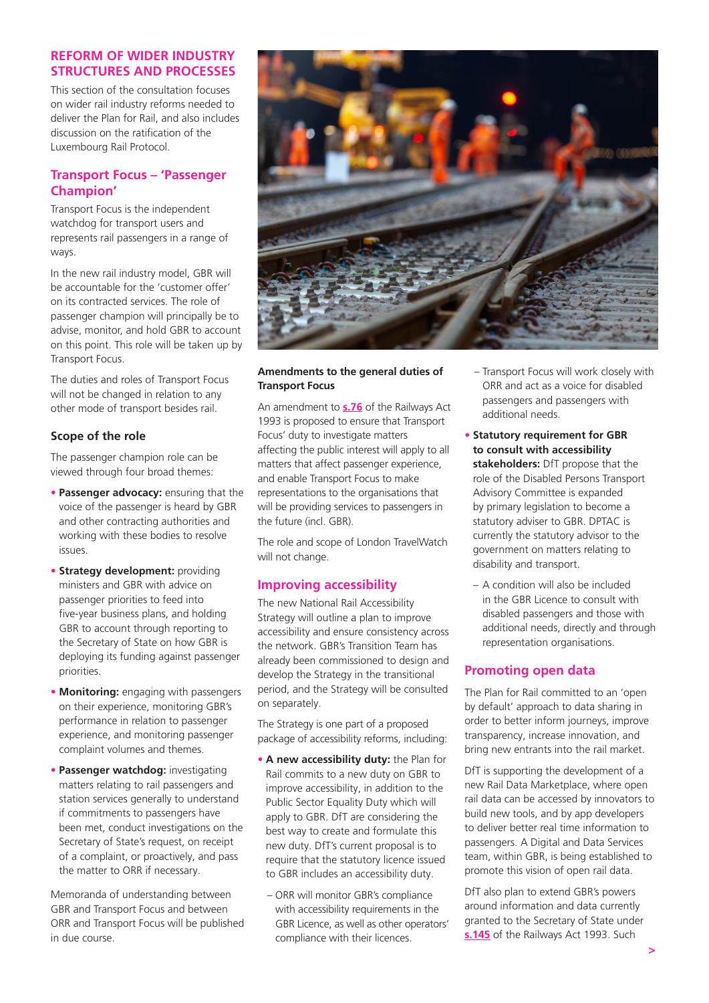#### **REFORM OF WIDER INDUSTRY STRUCTURES AND PROCESSES**

This section of the consultation focuses on wider rail industry reforms needed to deliver the Plan for Rail, and also includes discussion on the ratification of the Luxembourg Rail Protocol.

## **Transport Focus – 'Passenger Champion'**

Transport Focus is the independent watchdog for transport users and represents rail passengers in a range of ways.

In the new rail industry model, GBR will be accountable for the 'customer offer' on its contracted services. The role of passenger champion will principally be to advise, monitor, and hold GBR to account on this point. This role will be taken up by Transport Focus.

The duties and roles of Transport Focus will not be changed in relation to any other mode of transport besides rail.

#### **Scope of the role**

The passenger champion role can be viewed through four broad themes:

- **Passenger advocacy:** ensuring that the voice of the passenger is heard by GBR and other contracting authorities and working with these bodies to resolve issues.
- **Strategy development: providing** ministers and GBR with advice on passenger priorities to feed into five-year business plans, and holding GBR to account through reporting to the Secretary of State on how GBR is deploying its funding against passenger priorities.
- **Monitoring:** engaging with passengers on their experience, monitoring GBR's performance in relation to passenger experience, and monitoring passenger complaint volumes and themes.
- **Passenger watchdog:** investigating matters relating to rail passengers and station services generally to understand if commitments to passengers have been met, conduct investigations on the Secretary of State's request, on receipt of a complaint, or proactively, and pass the matter to ORR if necessary.

Memoranda of understanding between GBR and Transport Focus and between ORR and Transport Focus will be published in due course.



#### **Amendments to the general duties of Transport Focus**

An amendment to **[s.76](https://uk.westlaw.com/Document/I5F7F1670E44D11DA8D70A0E70A78ED65/View/FullText.html?originationContext=document&transitionType=DocumentItem&ppcid=b463b4096e2f45deb507906172510932&contextData=(sc.Search)&navId=424C44D3CA2D703E3283823830A6CE27&comp=wluk)** of the Railways Act 1993 is proposed to ensure that Transport Focus' duty to investigate matters affecting the public interest will apply to all matters that affect passenger experience, and enable Transport Focus to make representations to the organisations that will be providing services to passengers in the future (incl. GBR).

The role and scope of London TravelWatch will not change.

## **Improving accessibility**

The new National Rail Accessibility Strategy will outline a plan to improve accessibility and ensure consistency across the network. GBR's Transition Team has already been commissioned to design and develop the Strategy in the transitional period, and the Strategy will be consulted on separately.

The Strategy is one part of a proposed package of accessibility reforms, including:

- **A new accessibility duty:** the Plan for Rail commits to a new duty on GBR to improve accessibility, in addition to the Public Sector Equality Duty which will apply to GBR. DfT are considering the best way to create and formulate this new duty. DfT's current proposal is to require that the statutory licence issued to GBR includes an accessibility duty.
	- ORR will monitor GBR's compliance with accessibility requirements in the GBR Licence, as well as other operators' compliance with their licences.
- Transport Focus will work closely with ORR and act as a voice for disabled passengers and passengers with additional needs.
- **Statutory requirement for GBR to consult with accessibility stakeholders:** DfT propose that the role of the Disabled Persons Transport Advisory Committee is expanded by primary legislation to become a statutory adviser to GBR. DPTAC is currently the statutory advisor to the government on matters relating to disability and transport.
	- A condition will also be included in the GBR Licence to consult with disabled passengers and those with additional needs, directly and through representation organisations.

## **Promoting open data**

The Plan for Rail committed to an 'open by default' approach to data sharing in order to better inform journeys, improve transparency, increase innovation, and bring new entrants into the rail market.

DfT is supporting the development of a new Rail Data Marketplace, where open rail data can be accessed by innovators to build new tools, and by app developers to deliver better real time information to passengers. A Digital and Data Services team, within GBR, is being established to promote this vision of open rail data.

DfT also plan to extend GBR's powers around information and data currently granted to the Secretary of State under **[s.145](https://uk.westlaw.com/Document/I7F31A870E44811DA8D70A0E70A78ED65/View/FullText.html?originationContext=document&transitionType=DocumentItem&ppcid=b463b4096e2f45deb507906172510932&contextData=(sc.Search)&navId=424C44D3CA2D703E3283823830A6CE27&comp=wluk)** of the Railways Act 1993. Such